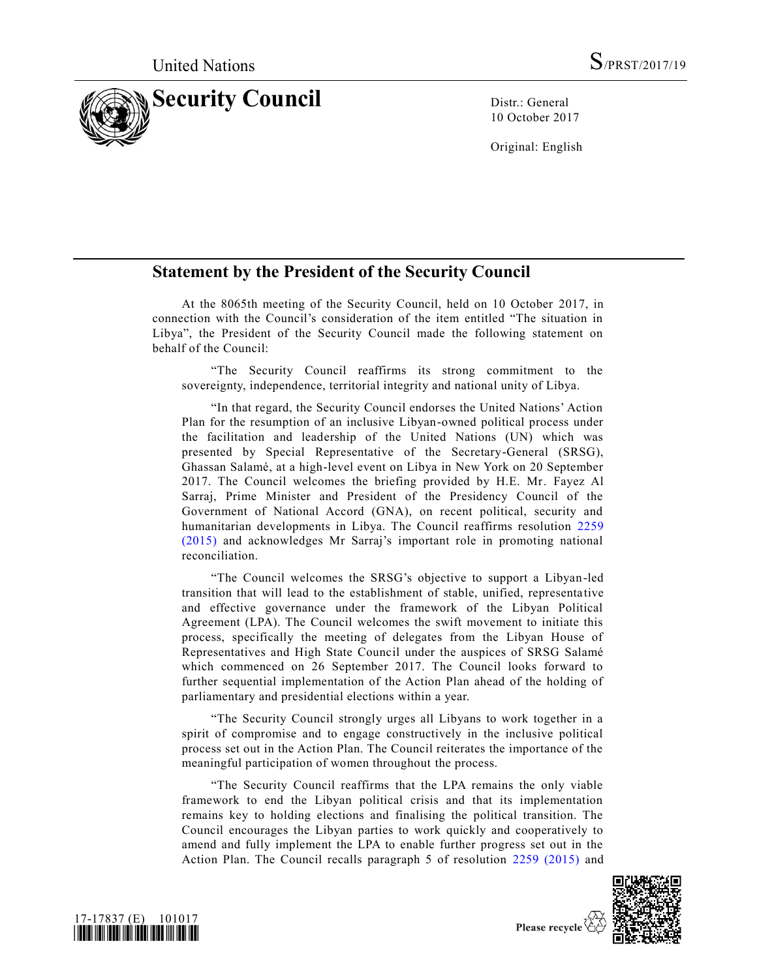

10 October 2017

Original: English

## **Statement by the President of the Security Council**

At the 8065th meeting of the Security Council, held on 10 October 2017, in connection with the Council's consideration of the item entitled "The situation in Libya", the President of the Security Council made the following statement on behalf of the Council:

"The Security Council reaffirms its strong commitment to the sovereignty, independence, territorial integrity and national unity of Libya.

"In that regard, the Security Council endorses the United Nations' Action Plan for the resumption of an inclusive Libyan-owned political process under the facilitation and leadership of the United Nations (UN) which was presented by Special Representative of the Secretary-General (SRSG), Ghassan Salamé, at a high-level event on Libya in New York on 20 September 2017. The Council welcomes the briefing provided by H.E. Mr. Fayez Al Sarraj, Prime Minister and President of the Presidency Council of the Government of National Accord (GNA), on recent political, security and humanitarian developments in Libya. The Council reaffirms resolution [2259](https://undocs.org/S/RES/2259(2015))  [\(2015\)](https://undocs.org/S/RES/2259(2015)) and acknowledges Mr Sarraj's important role in promoting national reconciliation.

"The Council welcomes the SRSG's objective to support a Libyan-led transition that will lead to the establishment of stable, unified, representa tive and effective governance under the framework of the Libyan Political Agreement (LPA). The Council welcomes the swift movement to initiate this process, specifically the meeting of delegates from the Libyan House of Representatives and High State Council under the auspices of SRSG Salamé which commenced on 26 September 2017. The Council looks forward to further sequential implementation of the Action Plan ahead of the holding of parliamentary and presidential elections within a year.

"The Security Council strongly urges all Libyans to work together in a spirit of compromise and to engage constructively in the inclusive political process set out in the Action Plan. The Council reiterates the importance of the meaningful participation of women throughout the process.

"The Security Council reaffirms that the LPA remains the only viable framework to end the Libyan political crisis and that its implementation remains key to holding elections and finalising the political transition. The Council encourages the Libyan parties to work quickly and cooperatively to amend and fully implement the LPA to enable further progress set out in the Action Plan. The Council recalls paragraph 5 of resolution [2259 \(2015\)](https://undocs.org/S/RES/2259(2015)) and





Please recycle  $\overline{\mathcal{C}}$